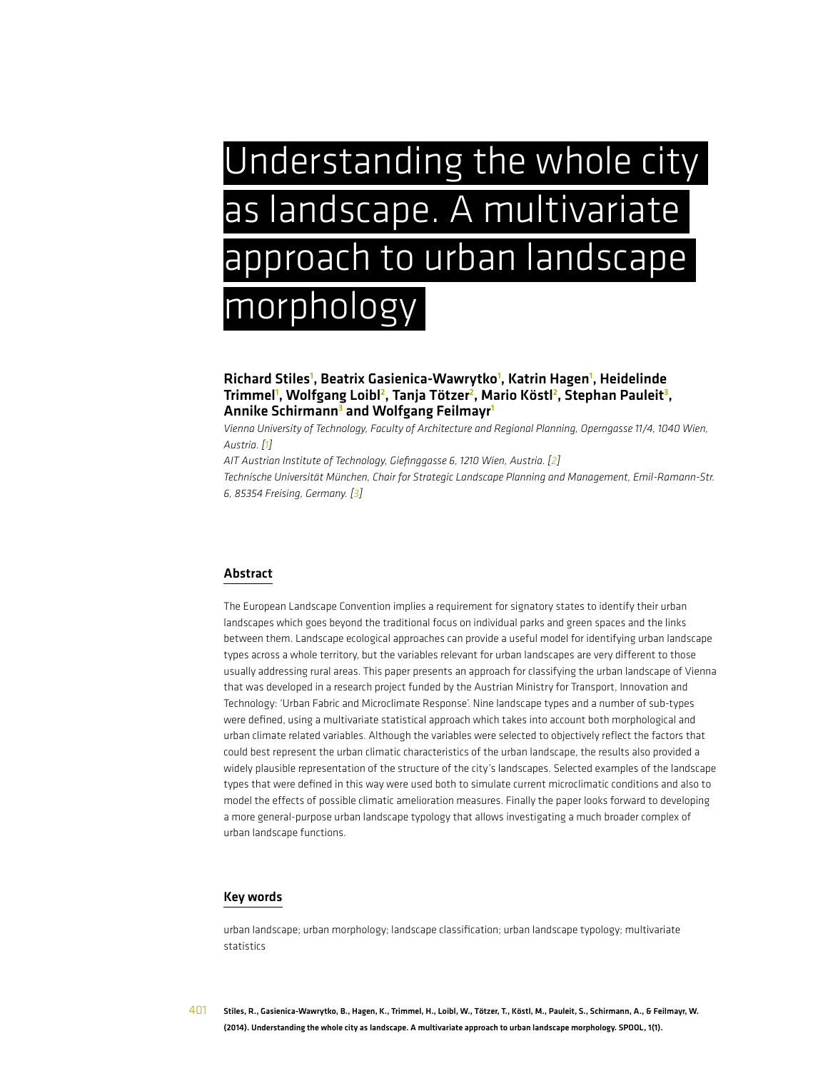# Understanding the whole city as landscape. A multivariate approach to urban landscape morphology

### Richard Stiles<sup>1</sup>, Beatrix Gasienica-Wawrytko<sup>1</sup>, Katrin Hagen<sup>1</sup>, Heidelinde Trimmel', Wolfgang Loibl<sup>2</sup>, Tanja Tötzer<sup>2</sup>, Mario Köstl<sup>2</sup>, Stephan Pauleit<sup>3</sup>, Annike Schirmann<sup>3</sup> and Wolfgang Feilmayr<sup>1</sup>

*Vienna University of Technology, Faculty of Architecture and Regional Planning, Operngasse 11/4, 1040 Wien, Austria. [1]*

*AIT Austrian Institute of Technology, Giefinggasse 6, 1210 Wien, Austria. [2]*

*Technische Universität München, Chair for Strategic Landscape Planning and Management, Emil-Ramann-Str. 6, 85354 Freising, Germany. [3]*

### Abstract

The European Landscape Convention implies a requirement for signatory states to identify their urban landscapes which goes beyond the traditional focus on individual parks and green spaces and the links between them. Landscape ecological approaches can provide a useful model for identifying urban landscape types across a whole territory, but the variables relevant for urban landscapes are very different to those usually addressing rural areas. This paper presents an approach for classifying the urban landscape of Vienna that was developed in a research project funded by the Austrian Ministry for Transport, Innovation and Technology: 'Urban Fabric and Microclimate Response'. Nine landscape types and a number of sub-types were defined, using a multivariate statistical approach which takes into account both morphological and urban climate related variables. Although the variables were selected to objectively reflect the factors that could best represent the urban climatic characteristics of the urban landscape, the results also provided a widely plausible representation of the structure of the city's landscapes. Selected examples of the landscape types that were defined in this way were used both to simulate current microclimatic conditions and also to model the effects of possible climatic amelioration measures. Finally the paper looks forward to developing a more general-purpose urban landscape typology that allows investigating a much broader complex of urban landscape functions.

#### Key words

urban landscape; urban morphology; landscape classification; urban landscape typology; multivariate statistics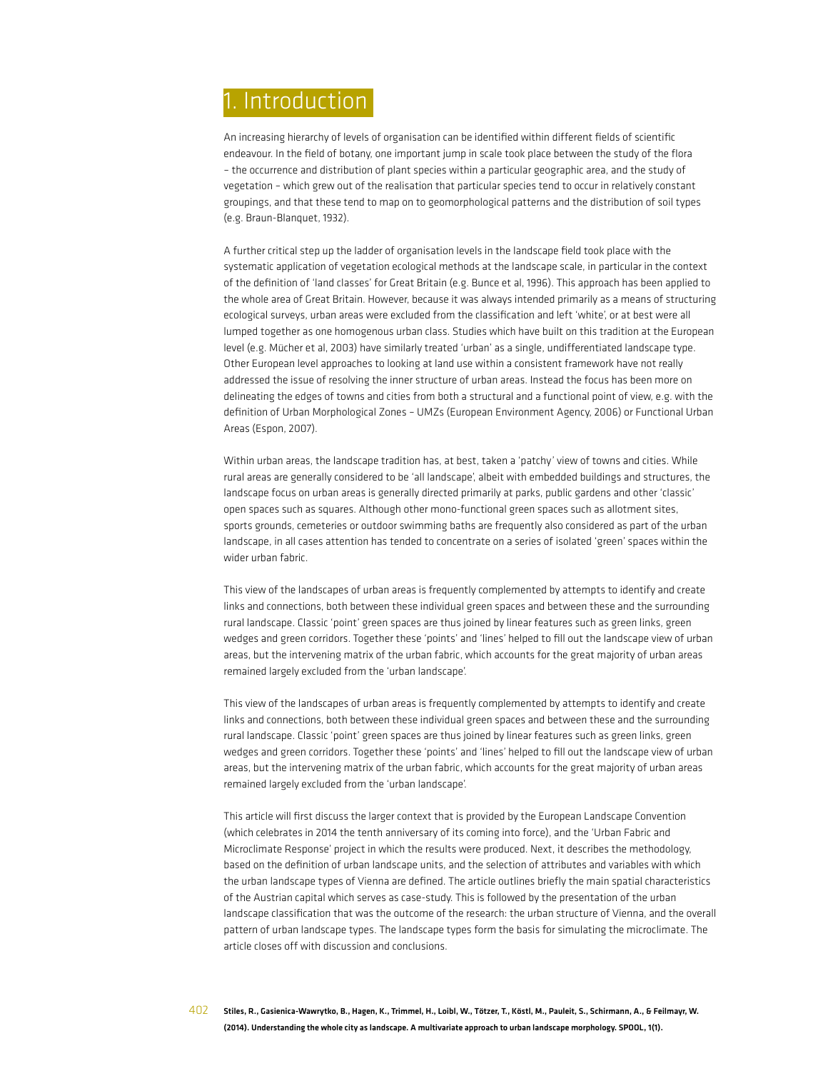# 1. Introduction

An increasing hierarchy of levels of organisation can be identified within different fields of scientific endeavour. In the field of botany, one important jump in scale took place between the study of the flora – the occurrence and distribution of plant species within a particular geographic area, and the study of vegetation – which grew out of the realisation that particular species tend to occur in relatively constant groupings, and that these tend to map on to geomorphological patterns and the distribution of soil types (e.g. Braun-Blanquet, 1932).

A further critical step up the ladder of organisation levels in the landscape field took place with the systematic application of vegetation ecological methods at the landscape scale, in particular in the context of the definition of 'land classes' for Great Britain (e.g. Bunce et al, 1996). This approach has been applied to the whole area of Great Britain. However, because it was always intended primarily as a means of structuring ecological surveys, urban areas were excluded from the classification and left 'white', or at best were all lumped together as one homogenous urban class. Studies which have built on this tradition at the European level (e.g. Mücher et al, 2003) have similarly treated 'urban' as a single, undifferentiated landscape type. Other European level approaches to looking at land use within a consistent framework have not really addressed the issue of resolving the inner structure of urban areas. Instead the focus has been more on delineating the edges of towns and cities from both a structural and a functional point of view, e.g. with the definition of Urban Morphological Zones – UMZs (European Environment Agency, 2006) or Functional Urban Areas (Espon, 2007).

Within urban areas, the landscape tradition has, at best, taken a 'patchy' view of towns and cities. While rural areas are generally considered to be 'all landscape', albeit with embedded buildings and structures, the landscape focus on urban areas is generally directed primarily at parks, public gardens and other 'classic' open spaces such as squares. Although other mono-functional green spaces such as allotment sites, sports grounds, cemeteries or outdoor swimming baths are frequently also considered as part of the urban landscape, in all cases attention has tended to concentrate on a series of isolated 'green' spaces within the wider urban fabric.

This view of the landscapes of urban areas is frequently complemented by attempts to identify and create links and connections, both between these individual green spaces and between these and the surrounding rural landscape. Classic 'point' green spaces are thus joined by linear features such as green links, green wedges and green corridors. Together these 'points' and 'lines' helped to fill out the landscape view of urban areas, but the intervening matrix of the urban fabric, which accounts for the great majority of urban areas remained largely excluded from the 'urban landscape'.

This view of the landscapes of urban areas is frequently complemented by attempts to identify and create links and connections, both between these individual green spaces and between these and the surrounding rural landscape. Classic 'point' green spaces are thus joined by linear features such as green links, green wedges and green corridors. Together these 'points' and 'lines' helped to fill out the landscape view of urban areas, but the intervening matrix of the urban fabric, which accounts for the great majority of urban areas remained largely excluded from the 'urban landscape'.

This article will first discuss the larger context that is provided by the European Landscape Convention (which celebrates in 2014 the tenth anniversary of its coming into force), and the 'Urban Fabric and Microclimate Response' project in which the results were produced. Next, it describes the methodology, based on the definition of urban landscape units, and the selection of attributes and variables with which the urban landscape types of Vienna are defined. The article outlines briefly the main spatial characteristics of the Austrian capital which serves as case-study. This is followed by the presentation of the urban landscape classification that was the outcome of the research: the urban structure of Vienna, and the overall pattern of urban landscape types. The landscape types form the basis for simulating the microclimate. The article closes off with discussion and conclusions.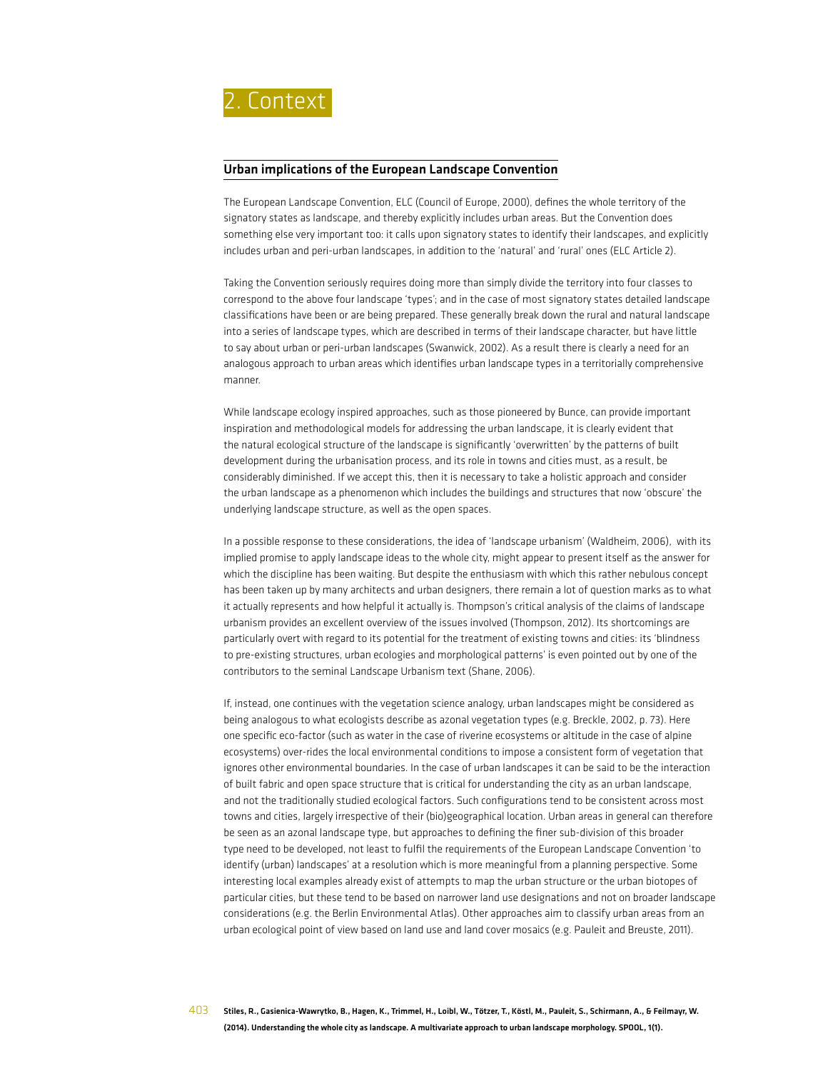

#### Urban implications of the European Landscape Convention

The European Landscape Convention, ELC (Council of Europe, 2000), defines the whole territory of the signatory states as landscape, and thereby explicitly includes urban areas. But the Convention does something else very important too: it calls upon signatory states to identify their landscapes, and explicitly includes urban and peri-urban landscapes, in addition to the 'natural' and 'rural' ones (ELC Article 2).

Taking the Convention seriously requires doing more than simply divide the territory into four classes to correspond to the above four landscape 'types'; and in the case of most signatory states detailed landscape classifications have been or are being prepared. These generally break down the rural and natural landscape into a series of landscape types, which are described in terms of their landscape character, but have little to say about urban or peri-urban landscapes (Swanwick, 2002). As a result there is clearly a need for an analogous approach to urban areas which identifies urban landscape types in a territorially comprehensive manner.

While landscape ecology inspired approaches, such as those pioneered by Bunce, can provide important inspiration and methodological models for addressing the urban landscape, it is clearly evident that the natural ecological structure of the landscape is significantly 'overwritten' by the patterns of built development during the urbanisation process, and its role in towns and cities must, as a result, be considerably diminished. If we accept this, then it is necessary to take a holistic approach and consider the urban landscape as a phenomenon which includes the buildings and structures that now 'obscure' the underlying landscape structure, as well as the open spaces.

In a possible response to these considerations, the idea of 'landscape urbanism' (Waldheim, 2006), with its implied promise to apply landscape ideas to the whole city, might appear to present itself as the answer for which the discipline has been waiting. But despite the enthusiasm with which this rather nebulous concept has been taken up by many architects and urban designers, there remain a lot of question marks as to what it actually represents and how helpful it actually is. Thompson's critical analysis of the claims of landscape urbanism provides an excellent overview of the issues involved (Thompson, 2012). Its shortcomings are particularly overt with regard to its potential for the treatment of existing towns and cities: its 'blindness to pre-existing structures, urban ecologies and morphological patterns' is even pointed out by one of the contributors to the seminal Landscape Urbanism text (Shane, 2006).

If, instead, one continues with the vegetation science analogy, urban landscapes might be considered as being analogous to what ecologists describe as azonal vegetation types (e.g. Breckle, 2002, p. 73). Here one specific eco-factor (such as water in the case of riverine ecosystems or altitude in the case of alpine ecosystems) over-rides the local environmental conditions to impose a consistent form of vegetation that ignores other environmental boundaries. In the case of urban landscapes it can be said to be the interaction of built fabric and open space structure that is critical for understanding the city as an urban landscape, and not the traditionally studied ecological factors. Such configurations tend to be consistent across most towns and cities, largely irrespective of their (bio)geographical location. Urban areas in general can therefore be seen as an azonal landscape type, but approaches to defining the finer sub-division of this broader type need to be developed, not least to fulfil the requirements of the European Landscape Convention 'to identify (urban) landscapes' at a resolution which is more meaningful from a planning perspective. Some interesting local examples already exist of attempts to map the urban structure or the urban biotopes of particular cities, but these tend to be based on narrower land use designations and not on broader landscape considerations (e.g. the Berlin Environmental Atlas). Other approaches aim to classify urban areas from an urban ecological point of view based on land use and land cover mosaics (e.g. Pauleit and Breuste, 2011).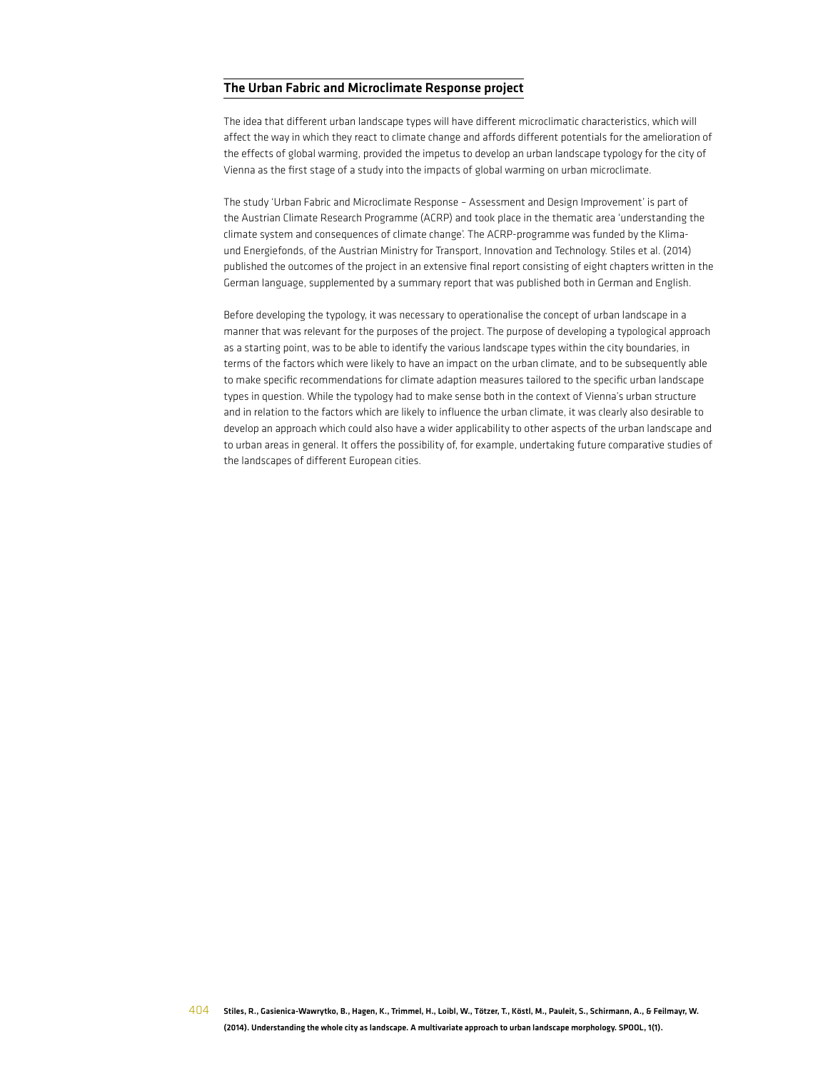### The Urban Fabric and Microclimate Response project

The idea that different urban landscape types will have different microclimatic characteristics, which will affect the way in which they react to climate change and affords different potentials for the amelioration of the effects of global warming, provided the impetus to develop an urban landscape typology for the city of Vienna as the first stage of a study into the impacts of global warming on urban microclimate.

The study 'Urban Fabric and Microclimate Response – Assessment and Design Improvement' is part of the Austrian Climate Research Programme (ACRP) and took place in the thematic area 'understanding the climate system and consequences of climate change'. The ACRP-programme was funded by the Klimaund Energiefonds, of the Austrian Ministry for Transport, Innovation and Technology. Stiles et al. (2014) published the outcomes of the project in an extensive final report consisting of eight chapters written in the German language, supplemented by a summary report that was published both in German and English.

Before developing the typology, it was necessary to operationalise the concept of urban landscape in a manner that was relevant for the purposes of the project. The purpose of developing a typological approach as a starting point, was to be able to identify the various landscape types within the city boundaries, in terms of the factors which were likely to have an impact on the urban climate, and to be subsequently able to make specific recommendations for climate adaption measures tailored to the specific urban landscape types in question. While the typology had to make sense both in the context of Vienna's urban structure and in relation to the factors which are likely to influence the urban climate, it was clearly also desirable to develop an approach which could also have a wider applicability to other aspects of the urban landscape and to urban areas in general. It offers the possibility of, for example, undertaking future comparative studies of the landscapes of different European cities.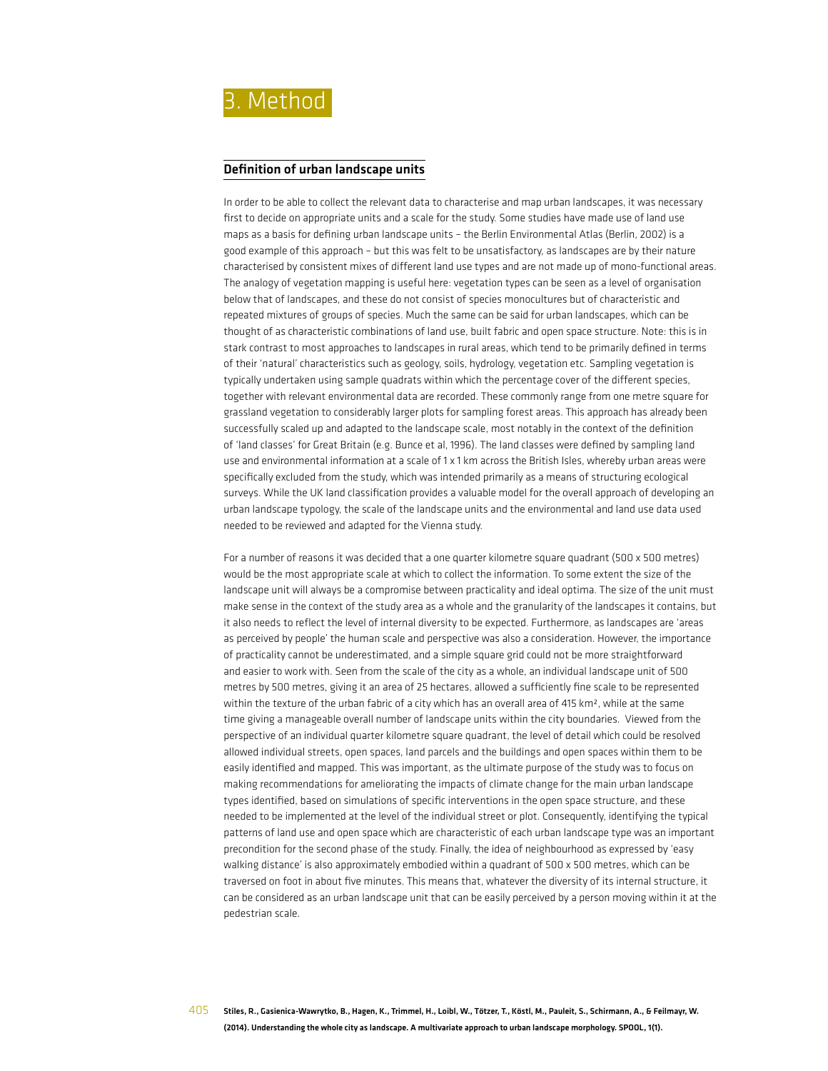

#### Definition of urban landscape units

In order to be able to collect the relevant data to characterise and map urban landscapes, it was necessary first to decide on appropriate units and a scale for the study. Some studies have made use of land use maps as a basis for defining urban landscape units – the Berlin Environmental Atlas (Berlin, 2002) is a good example of this approach – but this was felt to be unsatisfactory, as landscapes are by their nature characterised by consistent mixes of different land use types and are not made up of mono-functional areas. The analogy of vegetation mapping is useful here: vegetation types can be seen as a level of organisation below that of landscapes, and these do not consist of species monocultures but of characteristic and repeated mixtures of groups of species. Much the same can be said for urban landscapes, which can be thought of as characteristic combinations of land use, built fabric and open space structure. Note: this is in stark contrast to most approaches to landscapes in rural areas, which tend to be primarily defined in terms of their 'natural' characteristics such as geology, soils, hydrology, vegetation etc. Sampling vegetation is typically undertaken using sample quadrats within which the percentage cover of the different species, together with relevant environmental data are recorded. These commonly range from one metre square for grassland vegetation to considerably larger plots for sampling forest areas. This approach has already been successfully scaled up and adapted to the landscape scale, most notably in the context of the definition of 'land classes' for Great Britain (e.g. Bunce et al, 1996). The land classes were defined by sampling land use and environmental information at a scale of 1 x 1 km across the British Isles, whereby urban areas were specifically excluded from the study, which was intended primarily as a means of structuring ecological surveys. While the UK land classification provides a valuable model for the overall approach of developing an urban landscape typology, the scale of the landscape units and the environmental and land use data used needed to be reviewed and adapted for the Vienna study.

For a number of reasons it was decided that a one quarter kilometre square quadrant (500 x 500 metres) would be the most appropriate scale at which to collect the information. To some extent the size of the landscape unit will always be a compromise between practicality and ideal optima. The size of the unit must make sense in the context of the study area as a whole and the granularity of the landscapes it contains, but it also needs to reflect the level of internal diversity to be expected. Furthermore, as landscapes are 'areas as perceived by people' the human scale and perspective was also a consideration. However, the importance of practicality cannot be underestimated, and a simple square grid could not be more straightforward and easier to work with. Seen from the scale of the city as a whole, an individual landscape unit of 500 metres by 500 metres, giving it an area of 25 hectares, allowed a sufficiently fine scale to be represented within the texture of the urban fabric of a city which has an overall area of 415 km<sup>2</sup>, while at the same time giving a manageable overall number of landscape units within the city boundaries. Viewed from the perspective of an individual quarter kilometre square quadrant, the level of detail which could be resolved allowed individual streets, open spaces, land parcels and the buildings and open spaces within them to be easily identified and mapped. This was important, as the ultimate purpose of the study was to focus on making recommendations for ameliorating the impacts of climate change for the main urban landscape types identified, based on simulations of specific interventions in the open space structure, and these needed to be implemented at the level of the individual street or plot. Consequently, identifying the typical patterns of land use and open space which are characteristic of each urban landscape type was an important precondition for the second phase of the study. Finally, the idea of neighbourhood as expressed by 'easy walking distance' is also approximately embodied within a quadrant of 500 x 500 metres, which can be traversed on foot in about five minutes. This means that, whatever the diversity of its internal structure, it can be considered as an urban landscape unit that can be easily perceived by a person moving within it at the pedestrian scale.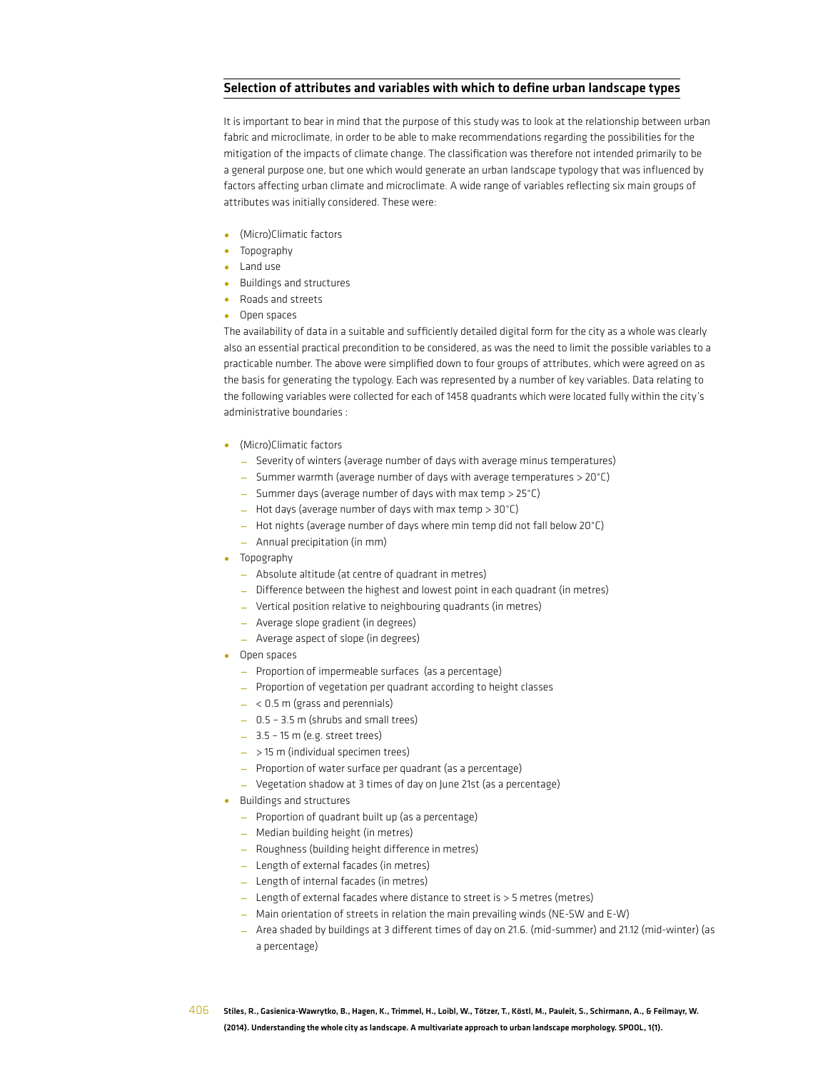### Selection of attributes and variables with which to define urban landscape types

It is important to bear in mind that the purpose of this study was to look at the relationship between urban fabric and microclimate, in order to be able to make recommendations regarding the possibilities for the mitigation of the impacts of climate change. The classification was therefore not intended primarily to be a general purpose one, but one which would generate an urban landscape typology that was influenced by factors affecting urban climate and microclimate. A wide range of variables reflecting six main groups of attributes was initially considered. These were:

- (Micro)Climatic factors
- Topography
- Land use
- Buildings and structures
- Roads and streets
- Open spaces

The availability of data in a suitable and sufficiently detailed digital form for the city as a whole was clearly also an essential practical precondition to be considered, as was the need to limit the possible variables to a practicable number. The above were simplified down to four groups of attributes, which were agreed on as the basis for generating the typology. Each was represented by a number of key variables. Data relating to the following variables were collected for each of 1458 quadrants which were located fully within the city's administrative boundaries :

- (Micro)Climatic factors
	- Severity of winters (average number of days with average minus temperatures)
	- Summer warmth (average number of days with average temperatures > 20°C)
	- Summer days (average number of days with max temp > 25°C)
	- $-$  Hot days (average number of days with max temp  $> 30^{\circ}$ C)
	- Hot nights (average number of days where min temp did not fall below 20°C)
	- Annual precipitation (in mm)
- Topography
	- Absolute altitude (at centre of quadrant in metres)
	- Difference between the highest and lowest point in each quadrant (in metres)
	- Vertical position relative to neighbouring quadrants (in metres)
	- Average slope gradient (in degrees)
	- Average aspect of slope (in degrees)
- Open spaces
	- Proportion of impermeable surfaces (as a percentage)
	- Proportion of vegetation per quadrant according to height classes
	- $< 0.5$  m (grass and perennials)
	- 0.5 3.5 m (shrubs and small trees)
	- 3.5 15 m (e.g. street trees)
	- $-$  > 15 m (individual specimen trees)
	- Proportion of water surface per quadrant (as a percentage)
	- Vegetation shadow at 3 times of day on June 21st (as a percentage)
- Buildings and structures
	- Proportion of quadrant built up (as a percentage)
	- Median building height (in metres)
	- Roughness (building height difference in metres)
	- Length of external facades (in metres)
	- Length of internal facades (in metres)
	- Length of external facades where distance to street is > 5 metres (metres)
	- Main orientation of streets in relation the main prevailing winds (NE-SW and E-W)
	- Area shaded by buildings at 3 different times of day on 21.6. (mid-summer) and 21.12 (mid-winter) (as a percentage)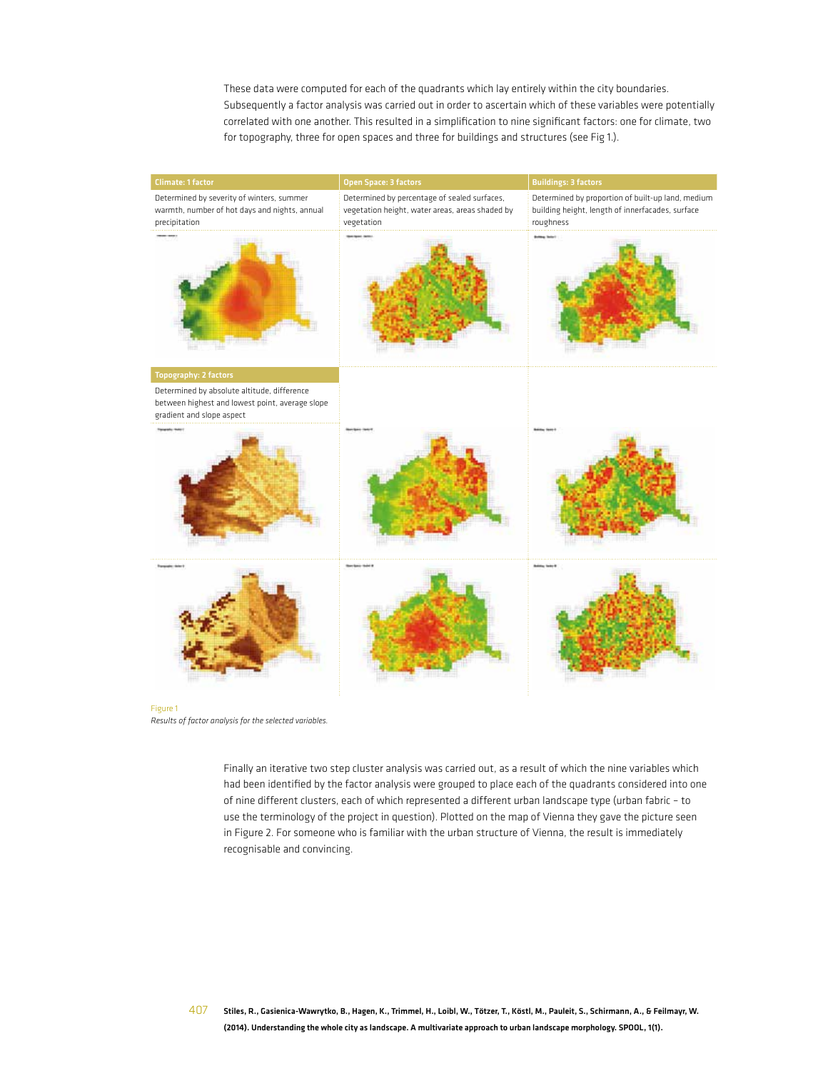These data were computed for each of the quadrants which lay entirely within the city boundaries. Subsequently a factor analysis was carried out in order to ascertain which of these variables were potentially correlated with one another. This resulted in a simplification to nine significant factors: one for climate, two for topography, three for open spaces and three for buildings and structures (see Fig 1.).



*Results of factor analysis for the selected variables.*

Finally an iterative two step cluster analysis was carried out, as a result of which the nine variables which had been identified by the factor analysis were grouped to place each of the quadrants considered into one of nine different clusters, each of which represented a different urban landscape type (urban fabric – to use the terminology of the project in question). Plotted on the map of Vienna they gave the picture seen in Figure 2. For someone who is familiar with the urban structure of Vienna, the result is immediately recognisable and convincing.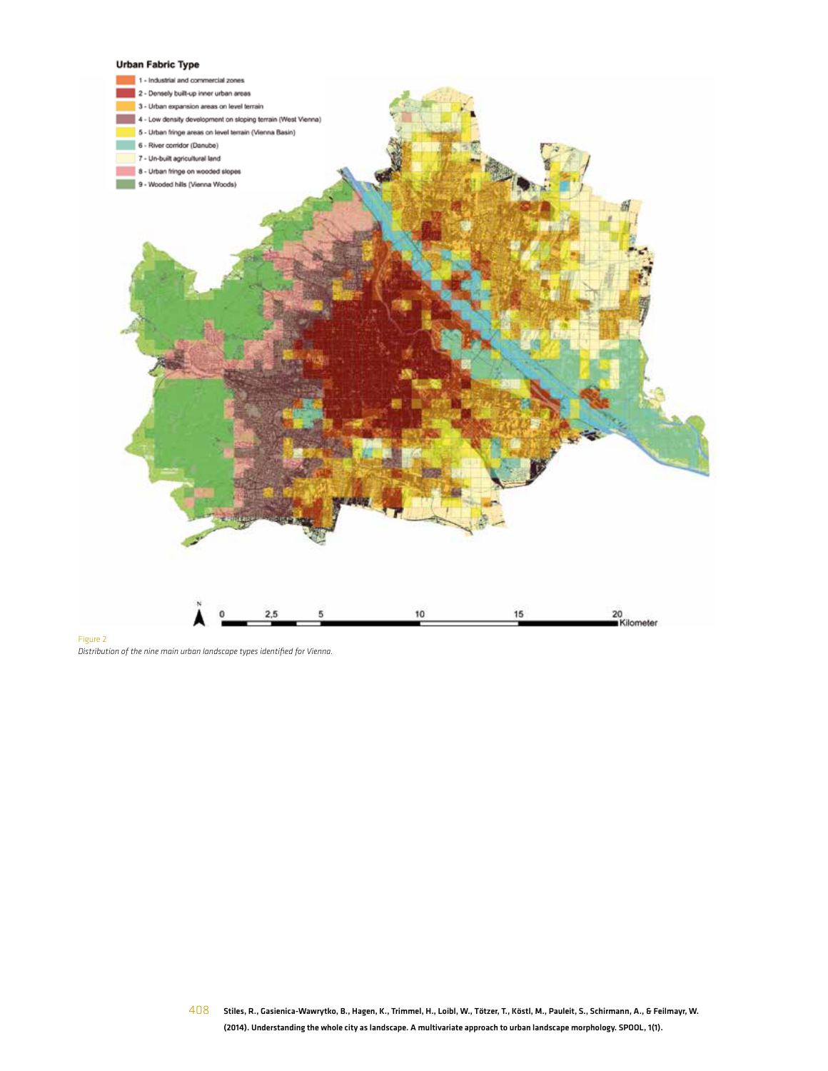#### **Urban Fabric Type**



Figure 2 *Distribution of the nine main urban landscape types identified for Vienna.*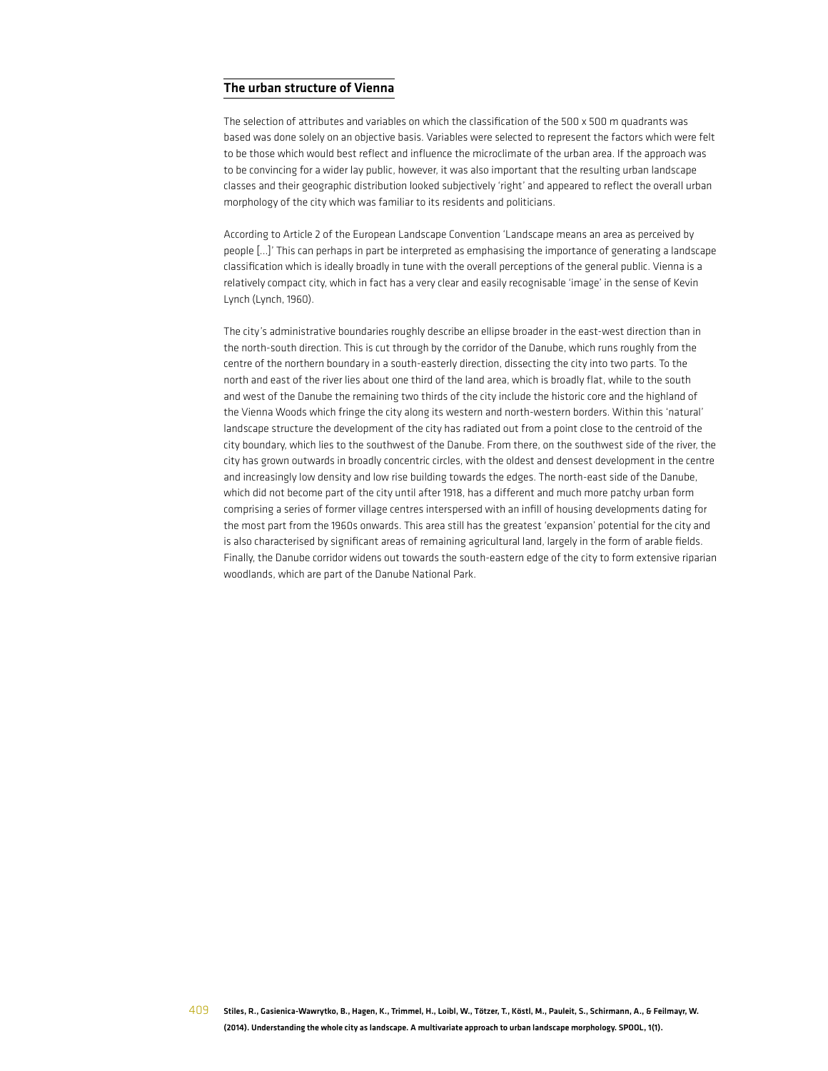### The urban structure of Vienna

The selection of attributes and variables on which the classification of the 500 x 500 m quadrants was based was done solely on an objective basis. Variables were selected to represent the factors which were felt to be those which would best reflect and influence the microclimate of the urban area. If the approach was to be convincing for a wider lay public, however, it was also important that the resulting urban landscape classes and their geographic distribution looked subjectively 'right' and appeared to reflect the overall urban morphology of the city which was familiar to its residents and politicians.

According to Article 2 of the European Landscape Convention 'Landscape means an area as perceived by people [...]' This can perhaps in part be interpreted as emphasising the importance of generating a landscape classification which is ideally broadly in tune with the overall perceptions of the general public. Vienna is a relatively compact city, which in fact has a very clear and easily recognisable 'image' in the sense of Kevin Lynch (Lynch, 1960).

The city's administrative boundaries roughly describe an ellipse broader in the east-west direction than in the north-south direction. This is cut through by the corridor of the Danube, which runs roughly from the centre of the northern boundary in a south-easterly direction, dissecting the city into two parts. To the north and east of the river lies about one third of the land area, which is broadly flat, while to the south and west of the Danube the remaining two thirds of the city include the historic core and the highland of the Vienna Woods which fringe the city along its western and north-western borders. Within this 'natural' landscape structure the development of the city has radiated out from a point close to the centroid of the city boundary, which lies to the southwest of the Danube. From there, on the southwest side of the river, the city has grown outwards in broadly concentric circles, with the oldest and densest development in the centre and increasingly low density and low rise building towards the edges. The north-east side of the Danube, which did not become part of the city until after 1918, has a different and much more patchy urban form comprising a series of former village centres interspersed with an infill of housing developments dating for the most part from the 1960s onwards. This area still has the greatest 'expansion' potential for the city and is also characterised by significant areas of remaining agricultural land, largely in the form of arable fields. Finally, the Danube corridor widens out towards the south-eastern edge of the city to form extensive riparian woodlands, which are part of the Danube National Park.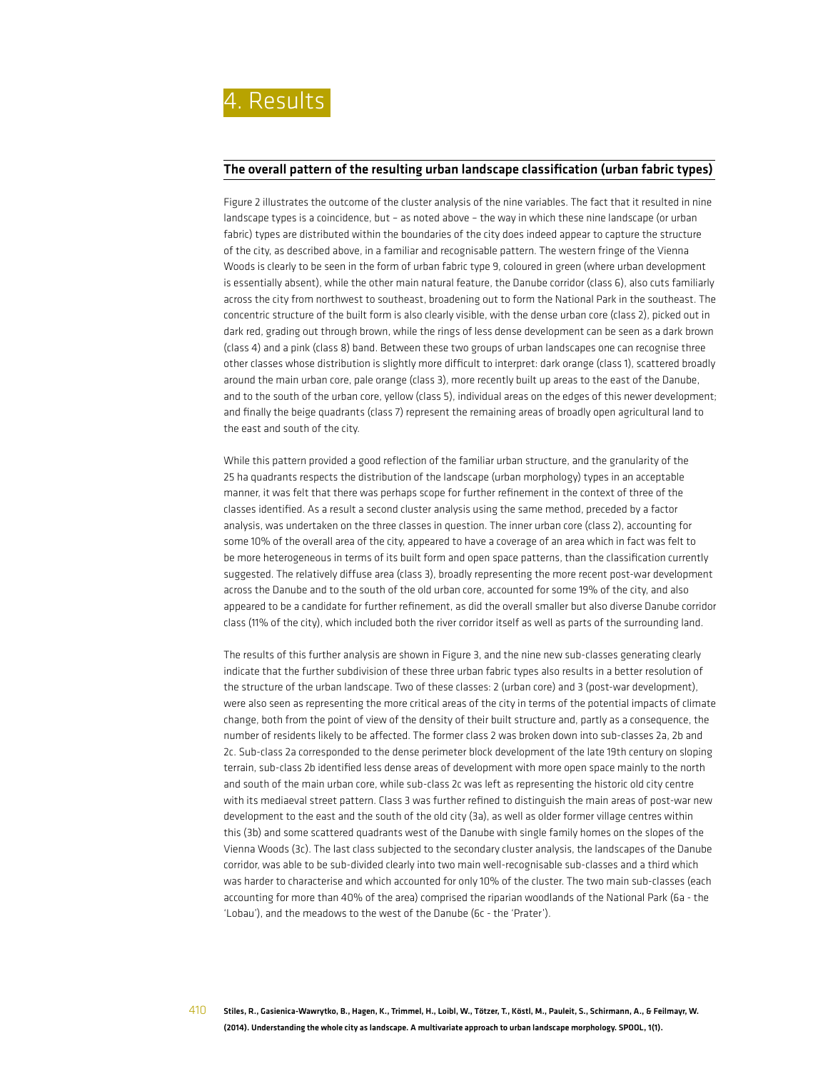#### The overall pattern of the resulting urban landscape classification (urban fabric types)

Figure 2 illustrates the outcome of the cluster analysis of the nine variables. The fact that it resulted in nine landscape types is a coincidence, but – as noted above – the way in which these nine landscape (or urban fabric) types are distributed within the boundaries of the city does indeed appear to capture the structure of the city, as described above, in a familiar and recognisable pattern. The western fringe of the Vienna Woods is clearly to be seen in the form of urban fabric type 9, coloured in green (where urban development is essentially absent), while the other main natural feature, the Danube corridor (class 6), also cuts familiarly across the city from northwest to southeast, broadening out to form the National Park in the southeast. The concentric structure of the built form is also clearly visible, with the dense urban core (class 2), picked out in dark red, grading out through brown, while the rings of less dense development can be seen as a dark brown (class 4) and a pink (class 8) band. Between these two groups of urban landscapes one can recognise three other classes whose distribution is slightly more difficult to interpret: dark orange (class 1), scattered broadly around the main urban core, pale orange (class 3), more recently built up areas to the east of the Danube, and to the south of the urban core, yellow (class 5), individual areas on the edges of this newer development; and finally the beige quadrants (class 7) represent the remaining areas of broadly open agricultural land to the east and south of the city.

While this pattern provided a good reflection of the familiar urban structure, and the granularity of the 25 ha quadrants respects the distribution of the landscape (urban morphology) types in an acceptable manner, it was felt that there was perhaps scope for further refinement in the context of three of the classes identified. As a result a second cluster analysis using the same method, preceded by a factor analysis, was undertaken on the three classes in question. The inner urban core (class 2), accounting for some 10% of the overall area of the city, appeared to have a coverage of an area which in fact was felt to be more heterogeneous in terms of its built form and open space patterns, than the classification currently suggested. The relatively diffuse area (class 3), broadly representing the more recent post-war development across the Danube and to the south of the old urban core, accounted for some 19% of the city, and also appeared to be a candidate for further refinement, as did the overall smaller but also diverse Danube corridor class (11% of the city), which included both the river corridor itself as well as parts of the surrounding land.

The results of this further analysis are shown in Figure 3, and the nine new sub-classes generating clearly indicate that the further subdivision of these three urban fabric types also results in a better resolution of the structure of the urban landscape. Two of these classes: 2 (urban core) and 3 (post-war development), were also seen as representing the more critical areas of the city in terms of the potential impacts of climate change, both from the point of view of the density of their built structure and, partly as a consequence, the number of residents likely to be affected. The former class 2 was broken down into sub-classes 2a, 2b and 2c. Sub-class 2a corresponded to the dense perimeter block development of the late 19th century on sloping terrain, sub-class 2b identified less dense areas of development with more open space mainly to the north and south of the main urban core, while sub-class 2c was left as representing the historic old city centre with its mediaeval street pattern. Class 3 was further refined to distinguish the main areas of post-war new development to the east and the south of the old city (3a), as well as older former village centres within this (3b) and some scattered quadrants west of the Danube with single family homes on the slopes of the Vienna Woods (3c). The last class subjected to the secondary cluster analysis, the landscapes of the Danube corridor, was able to be sub-divided clearly into two main well-recognisable sub-classes and a third which was harder to characterise and which accounted for only 10% of the cluster. The two main sub-classes (each accounting for more than 40% of the area) comprised the riparian woodlands of the National Park (6a - the 'Lobau'), and the meadows to the west of the Danube (6c - the 'Prater').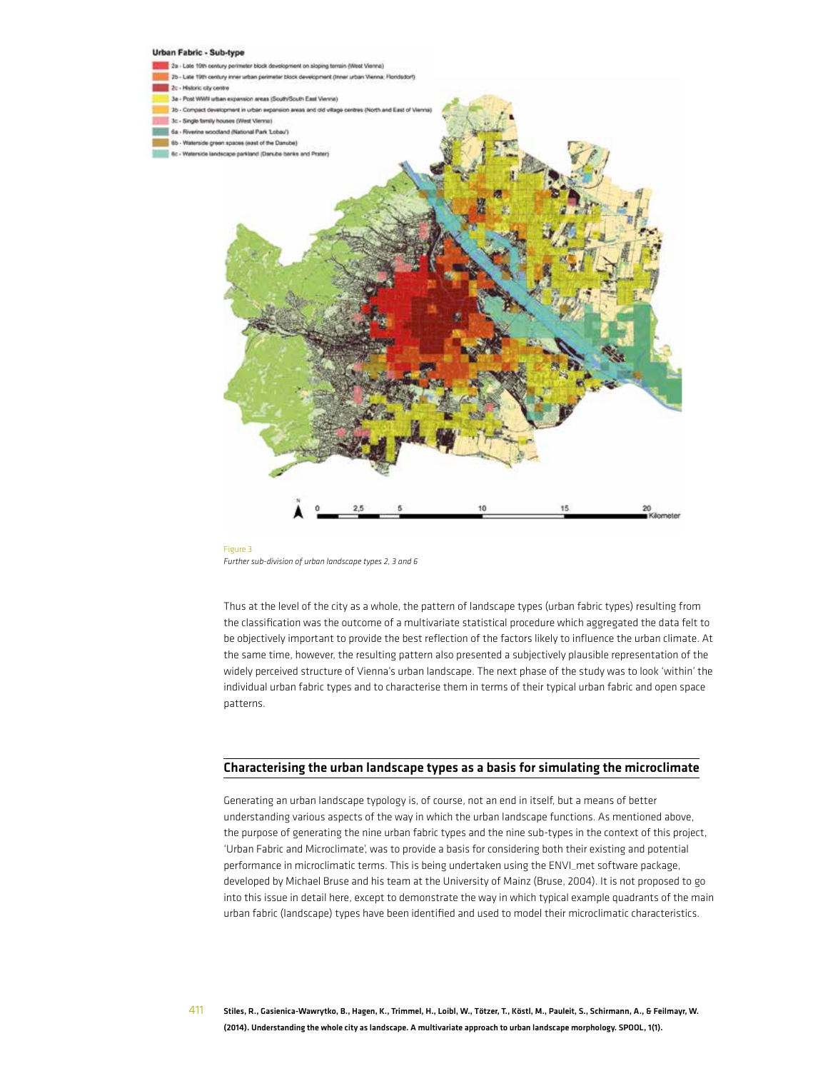

Figure 3 *Further sub-division of urban landscape types 2, 3 and 6*

Thus at the level of the city as a whole, the pattern of landscape types (urban fabric types) resulting from the classification was the outcome of a multivariate statistical procedure which aggregated the data felt to be objectively important to provide the best reflection of the factors likely to influence the urban climate. At the same time, however, the resulting pattern also presented a subjectively plausible representation of the widely perceived structure of Vienna's urban landscape. The next phase of the study was to look 'within' the individual urban fabric types and to characterise them in terms of their typical urban fabric and open space patterns.

#### Characterising the urban landscape types as a basis for simulating the microclimate

Generating an urban landscape typology is, of course, not an end in itself, but a means of better understanding various aspects of the way in which the urban landscape functions. As mentioned above, the purpose of generating the nine urban fabric types and the nine sub-types in the context of this project, 'Urban Fabric and Microclimate', was to provide a basis for considering both their existing and potential performance in microclimatic terms. This is being undertaken using the ENVI\_met software package, developed by Michael Bruse and his team at the University of Mainz (Bruse, 2004). It is not proposed to go into this issue in detail here, except to demonstrate the way in which typical example quadrants of the main urban fabric (landscape) types have been identified and used to model their microclimatic characteristics.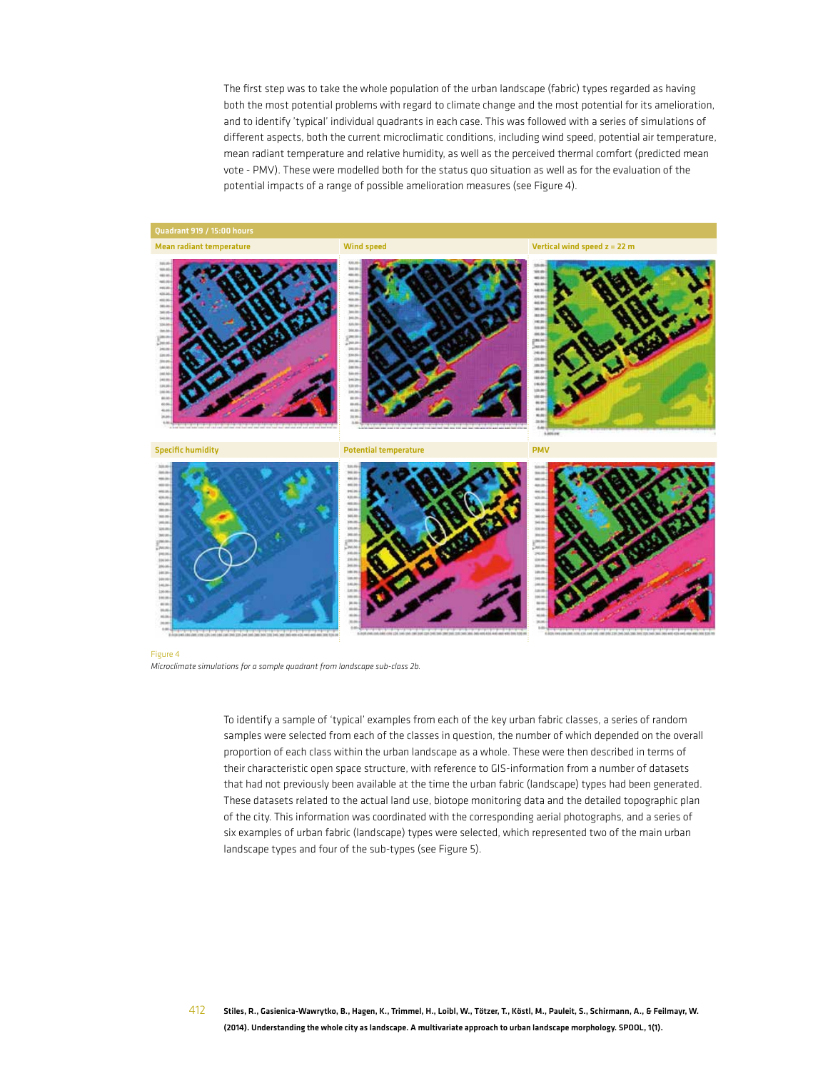The first step was to take the whole population of the urban landscape (fabric) types regarded as having both the most potential problems with regard to climate change and the most potential for its amelioration, and to identify 'typical' individual quadrants in each case. This was followed with a series of simulations of different aspects, both the current microclimatic conditions, including wind speed, potential air temperature, mean radiant temperature and relative humidity, as well as the perceived thermal comfort (predicted mean vote - PMV). These were modelled both for the status quo situation as well as for the evaluation of the potential impacts of a range of possible amelioration measures (see Figure 4).







Figure 4 *Microclimate simulations for a sample quadrant from landscape sub-class 2b.*

> To identify a sample of 'typical' examples from each of the key urban fabric classes, a series of random samples were selected from each of the classes in question, the number of which depended on the overall proportion of each class within the urban landscape as a whole. These were then described in terms of their characteristic open space structure, with reference to GIS-information from a number of datasets that had not previously been available at the time the urban fabric (landscape) types had been generated. These datasets related to the actual land use, biotope monitoring data and the detailed topographic plan of the city. This information was coordinated with the corresponding aerial photographs, and a series of six examples of urban fabric (landscape) types were selected, which represented two of the main urban landscape types and four of the sub-types (see Figure 5).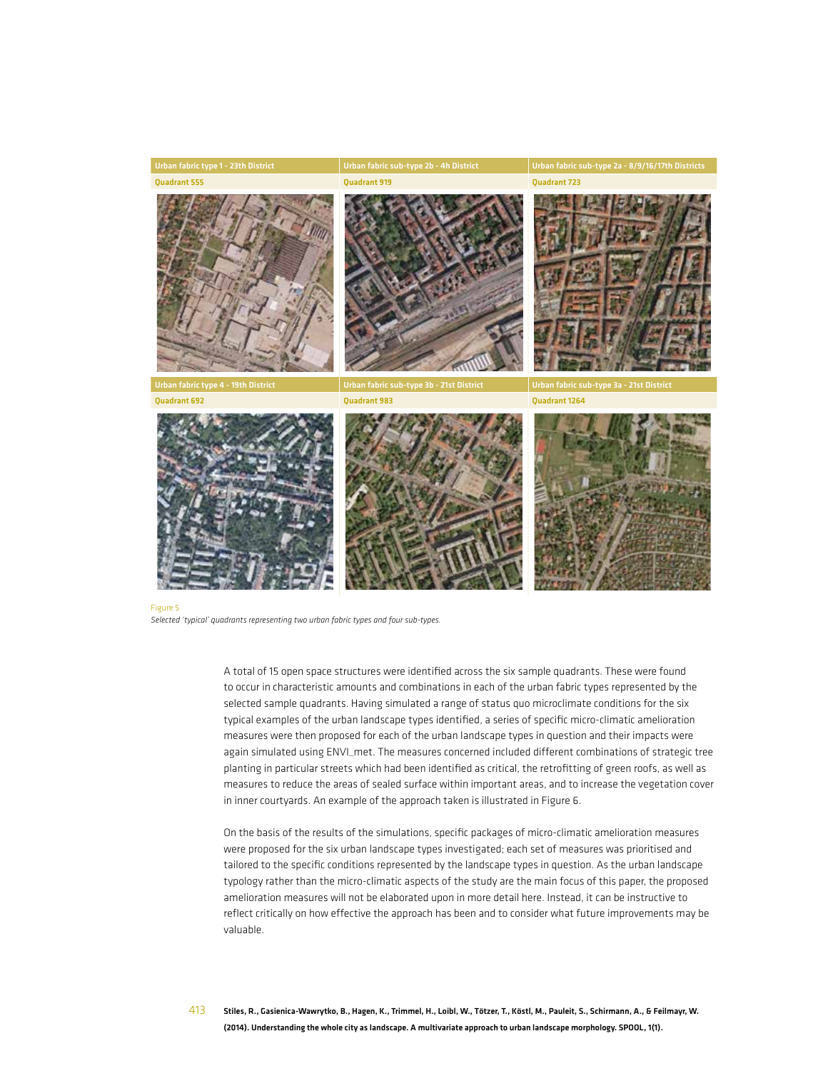

*Selected 'typical' quadrants representing two urban fabric types and four sub-types.*

A total of 15 open space structures were identified across the six sample quadrants. These were found to occur in characteristic amounts and combinations in each of the urban fabric types represented by the selected sample quadrants. Having simulated a range of status quo microclimate conditions for the six typical examples of the urban landscape types identified, a series of specific micro-climatic amelioration measures were then proposed for each of the urban landscape types in question and their impacts were again simulated using ENVI\_met. The measures concerned included different combinations of strategic tree planting in particular streets which had been identified as critical, the retrofitting of green roofs, as well as measures to reduce the areas of sealed surface within important areas, and to increase the vegetation cover in inner courtyards. An example of the approach taken is illustrated in Figure 6.

On the basis of the results of the simulations, specific packages of micro-climatic amelioration measures were proposed for the six urban landscape types investigated; each set of measures was prioritised and tailored to the specific conditions represented by the landscape types in question. As the urban landscape typology rather than the micro-climatic aspects of the study are the main focus of this paper, the proposed amelioration measures will not be elaborated upon in more detail here. Instead, it can be instructive to reflect critically on how effective the approach has been and to consider what future improvements may be valuable.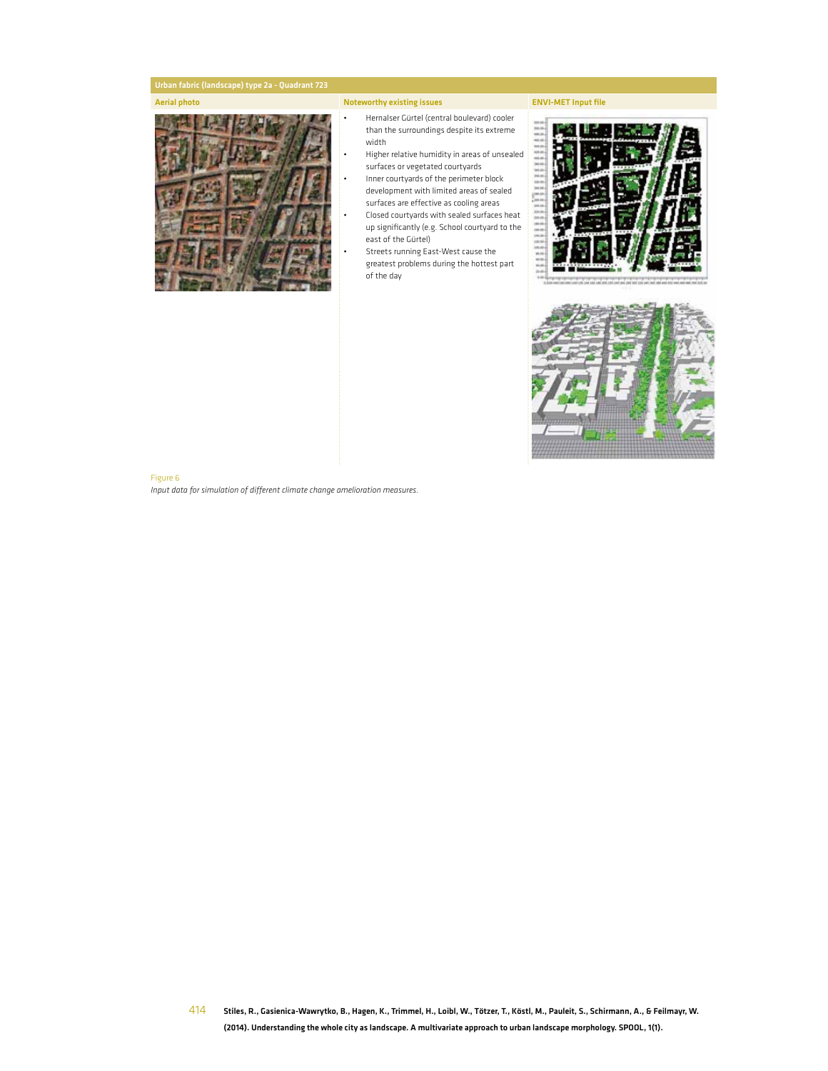#### Aerial photo **Noteworthy existing issues** ENVI-MET Input file

#### • Hernalser Gürtel (central boulevard) cooler than the surroundings despite its extreme width

- Higher relative humidity in areas of unsealed surfaces or vegetated courtyards
- Inner courtyards of the perimeter block development with limited areas of sealed surfaces are effective as cooling areas
- Closed courtyards with sealed surfaces heat up significantly (e.g. School courtyard to the east of the Gürtel)
- Streets running East-West cause the greatest problems during the hottest part of the day



#### Figure 6

*Input data for simulation of different climate change amelioration measures.*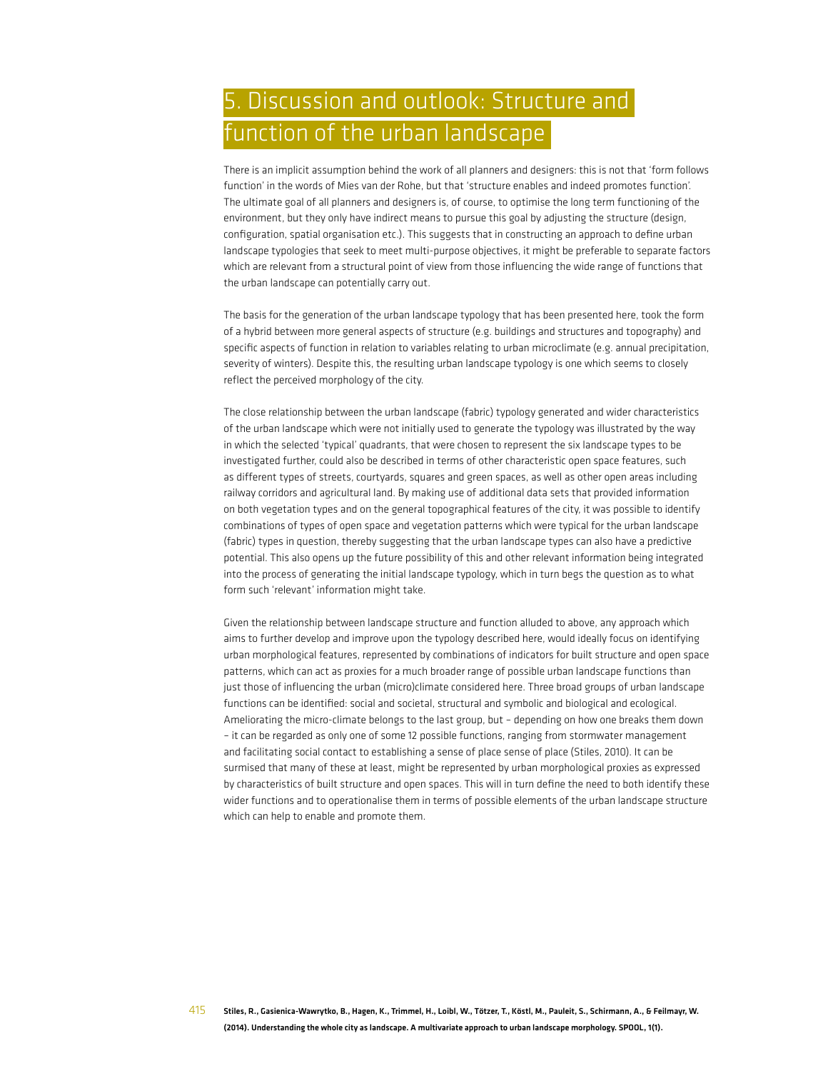# 5. Discussion and outlook: Structure and function of the urban landscape

There is an implicit assumption behind the work of all planners and designers: this is not that 'form follows function' in the words of Mies van der Rohe, but that 'structure enables and indeed promotes function'. The ultimate goal of all planners and designers is, of course, to optimise the long term functioning of the environment, but they only have indirect means to pursue this goal by adjusting the structure (design, configuration, spatial organisation etc.). This suggests that in constructing an approach to define urban landscape typologies that seek to meet multi-purpose objectives, it might be preferable to separate factors which are relevant from a structural point of view from those influencing the wide range of functions that the urban landscape can potentially carry out.

The basis for the generation of the urban landscape typology that has been presented here, took the form of a hybrid between more general aspects of structure (e.g. buildings and structures and topography) and specific aspects of function in relation to variables relating to urban microclimate (e.g. annual precipitation, severity of winters). Despite this, the resulting urban landscape typology is one which seems to closely reflect the perceived morphology of the city.

The close relationship between the urban landscape (fabric) typology generated and wider characteristics of the urban landscape which were not initially used to generate the typology was illustrated by the way in which the selected 'typical' quadrants, that were chosen to represent the six landscape types to be investigated further, could also be described in terms of other characteristic open space features, such as different types of streets, courtyards, squares and green spaces, as well as other open areas including railway corridors and agricultural land. By making use of additional data sets that provided information on both vegetation types and on the general topographical features of the city, it was possible to identify combinations of types of open space and vegetation patterns which were typical for the urban landscape (fabric) types in question, thereby suggesting that the urban landscape types can also have a predictive potential. This also opens up the future possibility of this and other relevant information being integrated into the process of generating the initial landscape typology, which in turn begs the question as to what form such 'relevant' information might take.

Given the relationship between landscape structure and function alluded to above, any approach which aims to further develop and improve upon the typology described here, would ideally focus on identifying urban morphological features, represented by combinations of indicators for built structure and open space patterns, which can act as proxies for a much broader range of possible urban landscape functions than just those of influencing the urban (micro)climate considered here. Three broad groups of urban landscape functions can be identified: social and societal, structural and symbolic and biological and ecological. Ameliorating the micro-climate belongs to the last group, but – depending on how one breaks them down – it can be regarded as only one of some 12 possible functions, ranging from stormwater management and facilitating social contact to establishing a sense of place sense of place (Stiles, 2010). It can be surmised that many of these at least, might be represented by urban morphological proxies as expressed by characteristics of built structure and open spaces. This will in turn define the need to both identify these wider functions and to operationalise them in terms of possible elements of the urban landscape structure which can help to enable and promote them.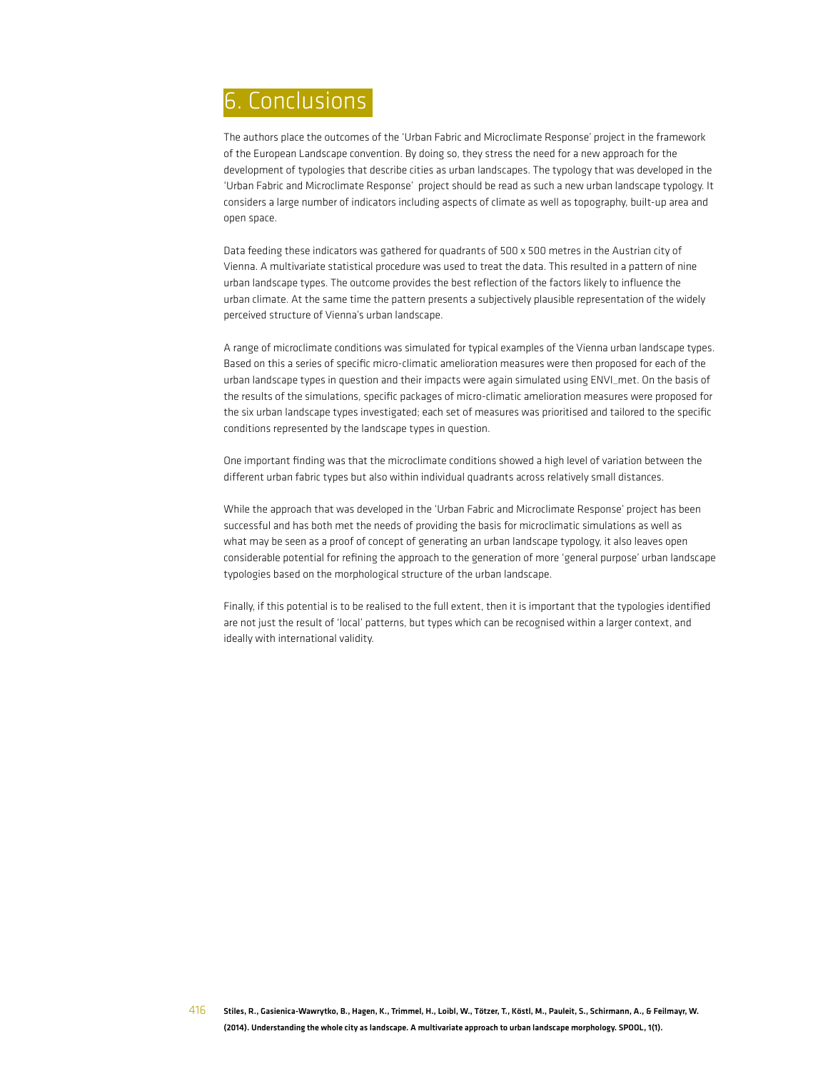# 6. Conclusions

The authors place the outcomes of the 'Urban Fabric and Microclimate Response' project in the framework of the European Landscape convention. By doing so, they stress the need for a new approach for the development of typologies that describe cities as urban landscapes. The typology that was developed in the 'Urban Fabric and Microclimate Response' project should be read as such a new urban landscape typology. It considers a large number of indicators including aspects of climate as well as topography, built-up area and open space.

Data feeding these indicators was gathered for quadrants of 500 x 500 metres in the Austrian city of Vienna. A multivariate statistical procedure was used to treat the data. This resulted in a pattern of nine urban landscape types. The outcome provides the best reflection of the factors likely to influence the urban climate. At the same time the pattern presents a subjectively plausible representation of the widely perceived structure of Vienna's urban landscape.

A range of microclimate conditions was simulated for typical examples of the Vienna urban landscape types. Based on this a series of specific micro-climatic amelioration measures were then proposed for each of the urban landscape types in question and their impacts were again simulated using ENVI\_met. On the basis of the results of the simulations, specific packages of micro-climatic amelioration measures were proposed for the six urban landscape types investigated; each set of measures was prioritised and tailored to the specific conditions represented by the landscape types in question.

One important finding was that the microclimate conditions showed a high level of variation between the different urban fabric types but also within individual quadrants across relatively small distances.

While the approach that was developed in the 'Urban Fabric and Microclimate Response' project has been successful and has both met the needs of providing the basis for microclimatic simulations as well as what may be seen as a proof of concept of generating an urban landscape typology, it also leaves open considerable potential for refining the approach to the generation of more 'general purpose' urban landscape typologies based on the morphological structure of the urban landscape.

Finally, if this potential is to be realised to the full extent, then it is important that the typologies identified are not just the result of 'local' patterns, but types which can be recognised within a larger context, and ideally with international validity.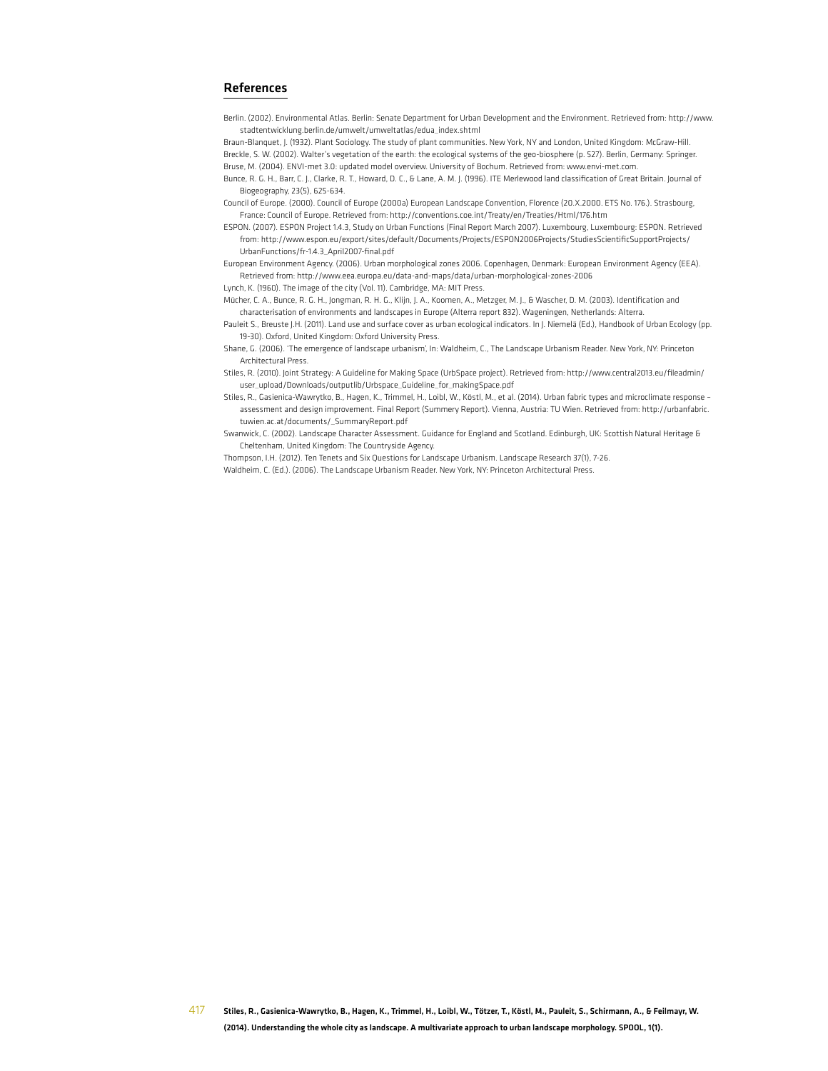#### References

Berlin. (2002). Environmental Atlas. Berlin: Senate Department for Urban Development and the Environment. Retrieved from: http://www. stadtentwicklung.berlin.de/umwelt/umweltatlas/edua\_index.shtml

Braun-Blanquet, J. (1932). Plant Sociology. The study of plant communities. New York, NY and London, United Kingdom: McGraw-Hill. Breckle, S. W. (2002). Walter's vegetation of the earth: the ecological systems of the geo-biosphere (p. 527). Berlin, Germany: Springer. Bruse, M. (2004). ENVI-met 3.0: updated model overview. University of Bochum. Retrieved from: www.envi-met.com.

Bunce, R. G. H., Barr, C. J., Clarke, R. T., Howard, D. C., & Lane, A. M. J. (1996). ITE Merlewood land classification of Great Britain. Journal of Biogeography, 23(5), 625-634.

Council of Europe. (2000). Council of Europe (2000a) European Landscape Convention, Florence (20.X.2000. ETS No. 176.). Strasbourg, France: Council of Europe. Retrieved from: http://conventions.coe.int/Treaty/en/Treaties/Html/176.htm

ESPON. (2007). ESPON Project 1.4.3, Study on Urban Functions (Final Report March 2007). Luxembourg, Luxembourg: ESPON. Retrieved from: http://www.espon.eu/export/sites/default/Documents/Projects/ESPON2006Projects/StudiesScientificSupportProjects/ UrbanFunctions/fr-1.4.3\_April2007-final.pdf

European Environment Agency. (2006). Urban morphological zones 2006. Copenhagen, Denmark: European Environment Agency (EEA). Retrieved from: http://www.eea.europa.eu/data-and-maps/data/urban-morphological-zones-2006

Lynch, K. (1960). The image of the city (Vol. 11). Cambridge, MA: MIT Press.

Mücher, C. A., Bunce, R. G. H., Jongman, R. H. G., Klijn, J. A., Koomen, A., Metzger, M. J., & Wascher, D. M. (2003). Identification and characterisation of environments and landscapes in Europe (Alterra report 832). Wageningen, Netherlands: Alterra.

Pauleit S., Breuste J.H. (2011). Land use and surface cover as urban ecological indicators. In J. Niemelä (Ed.), Handbook of Urban Ecology (pp. 19-30). Oxford, United Kingdom: Oxford University Press.

Shane, G. (2006). 'The emergence of landscape urbanism', In: Waldheim, C., The Landscape Urbanism Reader. New York, NY: Princeton Architectural Press.

Stiles, R. (2010). Joint Strategy: A Guideline for Making Space (UrbSpace project). Retrieved from: http://www.central2013.eu/fileadmin/ user\_upload/Downloads/outputlib/Urbspace\_Guideline\_for\_makingSpace.pdf

Stiles, R., Gasienica-Wawrytko, B., Hagen, K., Trimmel, H., Loibl, W., Köstl, M., et al. (2014). Urban fabric types and microclimate response – assessment and design improvement. Final Report (Summery Report). Vienna, Austria: TU Wien. Retrieved from: http://urbanfabric. tuwien.ac.at/documents/\_SummaryReport.pdf

Swanwick, C. (2002). Landscape Character Assessment. Guidance for England and Scotland. Edinburgh, UK: Scottish Natural Heritage & Cheltenham, United Kingdom: The Countryside Agency.

Thompson, I.H. (2012). Ten Tenets and Six Questions for Landscape Urbanism. Landscape Research 37(1), 7-26. Waldheim, C. (Ed.). (2006). The Landscape Urbanism Reader. New York, NY: Princeton Architectural Press.